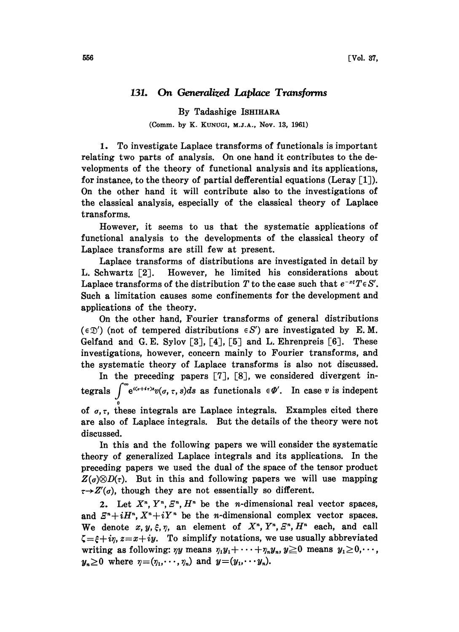## 131. On Generalized Laplace Transforms

By Tadashige ISHIHARA (Comm. by K. KUNUGI, M.J.A., NOV. 13, 1961)

1. To investigate Laplace transforms of functionals is important relating two parts of analysis. On one hand it contributes to the developments of the theory of functional analysis and its applications, for instance, to the theory of partial defferential equations (Leray  $\lceil 1 \rceil$ ). On the other hand it will contribute also to the investigations of the classical analysis, especially of the classical theory of Laplace transforms.

However, it seems to us that the systematic applications of functional analysis to the developments of the classical theory of Laplace transforms are still few at present.

Laplace transforms of distributions are investigated in detail by L. Schwartz [2]. However, he limited his considerations about Laplace transforms of the distribution T to the case such that  $e^{-x\xi}T\in S'$ . Such a limitation causes some confinements for the development and applications of the theory.

On the other hand, Fourier transforms of general distributions  $(\epsilon \mathfrak{D}')$  (not of tempered distributions  $\epsilon S'$ ) are investigated by E.M. Gelfand and G.E. Sylov  $[3]$ ,  $[4]$ ,  $[5]$  and L. Ehrenpreis  $[6]$ . These investigations, however, concern mainly to Fourier transforms, and the systematic theory of Laplace transforms is also not discussed.

In the preceding papers  $[7]$ ,  $[8]$ , we considered divergent integrals  $\int_{-\infty}^{\infty} e^{i(s+i\tau)s}v(\sigma,\tau,s)ds$  as functionals  $\in \Phi'$ . In case v is indepent of  $\sigma$ ,  $\tau$ , these integrals are Laplace integrals. Examples cited there are also of Laplace integrals. But the details of the theory were not discussed.

In this and the following papers we will consider the systematic theory of generalized Laplace integrals and its applications. In the preceding papers we used the dual of the space of the tensor product  $Z(\sigma) \otimes D(\tau)$ . But in this and following papers we will use mapping  $\tau \rightarrow Z'(\sigma)$ , though they are not essentially so different.

2. Let  $X^n$ ,  $Y^n$ ,  $E^n$ ,  $H^n$  be the *n*-dimensional real vector spaces, and  $E^n+iH^n$ ,  $X^n+iY^n$  be the *n*-dimensional complex vector spaces. We denote  $x, y, \xi, \eta$ , an element of  $X<sup>n</sup>, Y<sup>n</sup>, \mathbb{E}<sup>n</sup>, H<sup>n</sup>$  each, and call  $\zeta = \xi + i\eta$ ,  $z = x + iy$ . To simplify notations, we use usually abbreviated writing as following:  $\eta y$  means  $\eta_1 y_1 + \cdots + \eta_n y_n$ ,  $y \ge 0$  means  $y_1 \ge 0, \cdots$ ,  $y_n \geq 0$  where  $\eta = (\eta_1, \dots, \eta_n)$  and  $y=(y_1, \dots, y_n).$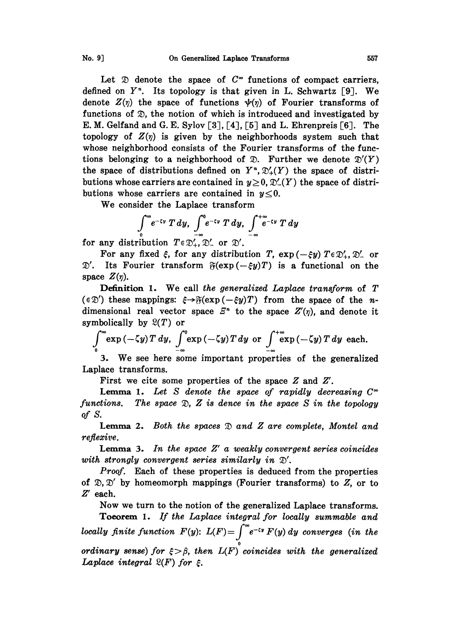Let  $\mathfrak D$  denote the space of  $C^{\infty}$  functions of compact carriers, defined on  $Y<sup>n</sup>$ . Its topology is that given in L. Schwartz [9]. We denote  $Z(\eta)$  the space of functions  $\psi(\eta)$  of Fourier transforms of functions of  $\mathfrak{D}$ , the notion of which is introduced and investigated by E. M. Gelfand and G. E. Sylov  $[3]$ ,  $[4]$ ,  $[5]$  and L. Ehrenpreis  $[6]$ . The topology of  $Z(\eta)$  is given by the neighborhoods system such that whose neighborhood consists of the Fourier transforms of the functions belonging to a neighborhood of  $\mathcal{D}$ . Further we denote  $\mathcal{D}'(Y)$ the space of distributions defined on  $Y^*$ ,  $\mathfrak{D}'_+(Y)$  the space of distributions whose carriers are contained in  $y \geq 0$ ,  $\mathfrak{D}'_{-}(Y)$  the space of distributions whose carriers are contained in  $y\leq0$ .

We consider the Laplace transform

$$
\int_{0}^{\infty} e^{-\zeta y} T dy, \int_{-\infty}^{0} e^{-\zeta y} T dy, \int_{-\infty}^{+\infty} e^{-\zeta y} T dy
$$
  
for any distribution  $T \in \mathfrak{D}'_{+}, \mathfrak{D}'_{-}$  or  $\mathfrak{D}'.$ 

For any fixed  $\xi$ , for any distribution T,  $\exp(-\xi y) T \in \mathfrak{D}'_+$ ,  $\mathfrak{D}'_-$  or For any nxed  $\xi$ , for any distribution T,  $\exp(-\xi y)T\in\mathcal{Y}_+, \mathcal{Y}_-$  or<br> $\mathcal{Y}'$ . Its Fourier transform  $\mathfrak{F}(\exp(-\xi y)T)$  is a functional on the space  $Z(\eta)$ .

**Definition 1.** We call the generalized Laplace transform of T  $(\epsilon \mathfrak{D}')$  these mappings:  $\xi \rightarrow \mathfrak{F}(\exp(-\xi y)T)$  from the space of the ndimensional real vector space  $E<sup>n</sup>$  to the space  $Z'(\eta)$ , and denote it symbolically by  $\mathfrak{L}(T)$  or

$$
\int_{0}^{\infty} \exp\left(-\zeta y\right) T \, dy, \quad \int_{-\infty}^{0} \exp\left(-\zeta y\right) T \, dy \text{ or } \int_{-\infty}^{+\infty} \exp\left(-\zeta y\right) T \, dy \text{ each.}
$$

3. We see here some important properties of the generalized Laplace transforms.

First we cite some properties of the space Z and Z'.

**Lemma 1.** Let S denote the space of rapidly decreasing  $C^{\infty}$ functions. The space  $\mathfrak{D}, Z$  is dence in the space S in the topology of S.

**Lemma 2.** Both the spaces  $\mathfrak D$  and  $Z$  are complete, Montel and reflexive.

**Lemma 3.** In the space  $Z'$  a weakly convergent series coincides with strongly convergent series similarly in  $\mathcal{D}'$ .

Proof. Each of these properties is deduced from the properties of  $\mathcal{D}, \mathcal{D}'$  by homeomorph mappings (Fourier transforms) to  $Z$ , or to  $Z'$  each. Z' each.

Now we turn to the notion of the generalized Laplace transforms. Toeorem 1. If the Laplace integral for locally summable and locally finite function  $F(y)$ :  $L(F) = \int_{-\infty}^{\infty} e^{-\tau y} F(y) dy$  converges (in the ordinary sense) for  $\xi > \beta$ , then  $L(F)$  coincides with the generalized Laplace integral  $\mathfrak{L}(F)$  for  $\varepsilon$ .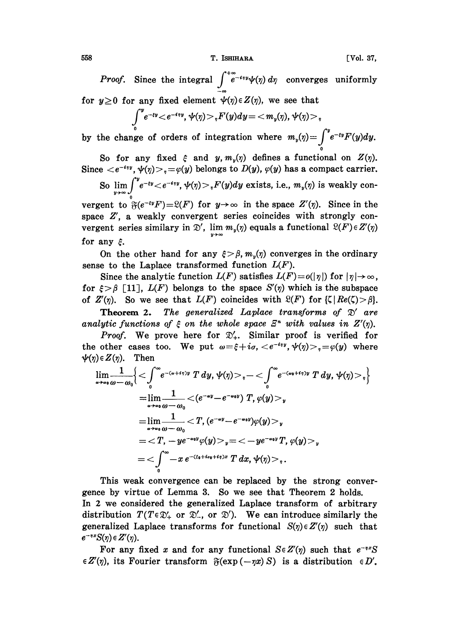558 T. ISHIHARA [Vol. 37,

*Proof.* Since the integral  $\int_{-\infty}^{+\infty} e^{-i\eta y} \psi(\eta) d\eta$  converges uniformly for  $y \ge 0$  for any fixed element  $\psi(\eta) \in Z(\eta)$ , we see that

$$
\int\limits_0^ye^{-iy}\!<\!e^{-iyy},\psi(\eta)\!>,_rF(y)dy\!=\!<\!m_y(\eta),\psi(\eta)\!>,_r
$$

by the change of orders of integration where  $m_y(\eta) = \int^y e^{-\epsilon y} F(y) dy$ .

So for any fixed  $\xi$  and  $y, m_y(\eta)$  defines a functional on  $Z(\eta)$ . Since  $\langle e^{-i\eta y}, \psi(\eta) \rangle_{\eta} = \varphi(y)$  belongs to  $D(y)$ ,  $\varphi(y)$  has a compact carrier.

So 
$$
\lim_{y \to \infty} \int_{0}^{y} e^{-iy} < e^{-iy} \text{, } \psi(\eta) > {}_{\eta}F(y)dy
$$
 exists, i.e.,  $m_y(\eta)$  is weakly continuous.

vergent to  $\mathfrak{F}(e^{-\epsilon y}F)=\mathfrak{L}(F)$  for  $y\rightarrow\infty$  in the space  $Z'(\eta)$ . Since in the space  $Z'$ , a weakly convergent series coincides with strongly convergent series similary in  $\mathfrak{D}'$ ,  $\lim_{y\to\infty} m_y(\eta)$  equals a functional  $\mathfrak{L}(F)\in Z'(\eta)$ for any  $\xi$ .

On the other hand for any  $\xi > \beta$ ,  $m_n(\eta)$  converges in the ordinary sense to the Laplace transformed function  $L(F)$ .

e to the Laplace transformed function  $L(F)$ .<br>Since the analytic function  $L(F)$  satisfies  $L(F) = o(|\eta|)$  for  $|\eta| \to$ Since the analytic function  $L(F)$  satisfies  $L(F) = o(|\eta|)$  for  $\xi > \beta$  [11],  $L(F)$  belongs to the space  $S'(\eta)$  which is the of  $Z'(\eta)$ . So we see that  $L(F)$  coincides with  $S'(F)$  for  $L[f]$ of  $Z'(\eta)$ . So we see that  $L(F)$  coincides with  $\mathfrak{L}(F)$  for  $\{\zeta | Re(\zeta) > \beta\}$ .

**Theorem 2.** The generalized Laplace transforms of  $\mathfrak{D}'$  are analytic functions of  $\xi$  on the whole space  $\mathbb{E}^n$  with values in  $Z'(\eta)$ .

Proof. We prove here for  $\mathfrak{D}'_+$ . Similar proof is verified for the other cases too. We put  $\omega = \xi + i\sigma, \langle e^{-i\eta y}, \psi(\eta) \rangle, =\psi(y)$  where  $\psi(\eta) \in Z(\eta)$ . Then

$$
\lim_{\omega \to \omega_0} \frac{1}{\omega - \omega_0} \Biggl\{ \begin{array}{l} \leq \int_0^\infty \!\! e^{-(\omega + i\eta)y} \; T \; dy, \, \psi(\eta) > \varphi \! - \! < \int_0^\infty \!\! e^{-(\omega_0 + i\eta)y} \; T \; dy, \, \psi(\eta) > \varphi \Biggr\} \\ = \lim_{\omega \to \omega_0} \frac{1}{\omega - \omega_0} < (e^{-\omega y} - e^{-\omega_0 y}) \; T, \, \varphi(y) > \varphi \\ = \lim_{\omega \to \omega_0} \frac{1}{\omega - \omega_0} < T, \, (e^{-\omega y} - e^{-\omega_0 y}) \varphi(y) > \varphi \\ = \; ="" +="" -x="" -ye^{-\omega_0="" .="" <-ye^{-\omega_0="" <\int_0^\infty="" \,="" \;="" \\="\;" \end{array}<="" \psi(\eta)="" \varphi="" \varphi(y)="" dx,="" e^{-(\xi_0="" i\eta)x}="" i\omega_0="" math="" t="" t,="" y}="">
$$

This weak convergence can be replaced by the strong convergence by virtue of Lemma 3. So we see that Theorem 2 holds. In 2 we considered the generalized Laplace transform of arbitrary distribution  $T(T \in \mathcal{D}'_+$  or  $\mathcal{D}'_-$ , or  $\mathcal{D}'$ ). We can introduce similarly the generalized Laplace transforms for functional  $S(\eta) \in Z'(\eta)$  such that

 $e^{-\eta x}S(\eta) \in Z'(\eta)$ . For any fixed x and for any functional  $S \in Z'(\eta)$  such that  $e^{-\eta x}S$  $\in Z'(\eta)$ , its Fourier transform  $\mathfrak{F}(\exp(-\eta x) S)$  is a distribution  $\in D'$ .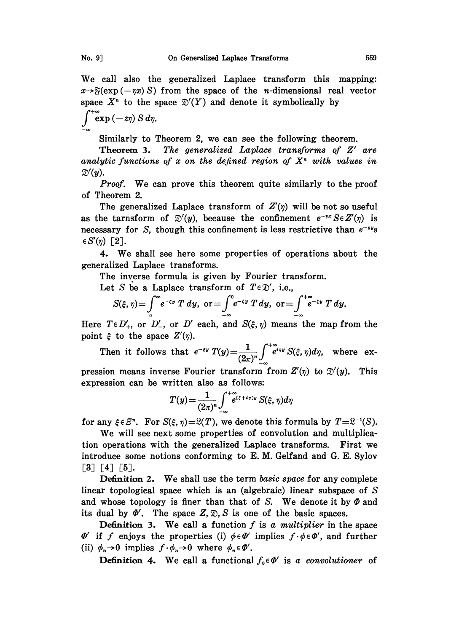space  $X<sup>n</sup>$  to the space  $\mathfrak{D}'(Y)$  and denote it symbolically by

 $\int_{-\infty}^{+\infty} \exp(-z\eta) S d\eta.$ 

Similarly to Theorem 2, we can see the following theorem.

Theorem 3. The generalized Laplace transforms of Z' are analytic functions of x on the defined region of  $X<sup>n</sup>$  with values in  $\mathfrak{D}'(y)$ .

Proof. We can prove this theorem quite similarly to the proof of Theorem 2.

The generalized Laplace transform of  $Z'(\eta)$  will be not so useful as the tarnsform of  $\mathcal{D}'(y)$ , because the confinement  $e^{-\eta x} S \in Z'(\eta)$  is necessary for S, though this confinement is less restrictive than  $e^{-iy}$ s  $\in S'(\eta)$  [2].

4. We shall see here some properties of operations about the generalized Laplace transforms.

The inverse formula is given by Fourier transform.

Let S be a Laplace transform of  $T \in \mathcal{D}'$ , i.e.,

$$
S(\xi,\eta)=\int_{0}^{\infty}e^{-\zeta y}T dy,\ \text{or}=\int_{-\infty}^{0}e^{-\zeta y}T dy,\ \text{or}=\int_{-\infty}^{+\infty}e^{-\zeta y}T dy.
$$

Here  $T \in D'_{+}$ , or  $D'_{-}$ , or  $D'$  each, and  $S(\xi, \eta)$  means the map from the point  $\xi$  to the space  $Z'(\eta)$ .

Then it follows that  $e^{-\varepsilon y} T(y) = \frac{1}{(2\pi)^n} \int_{-\infty}^{+\infty} e^{i\eta y} S(\xi, \eta) d\eta$ , where ex- $\frac{(-1)^n}{2\pi}$ - $\frac{2\pi}{n}$ 

pression means inverse Fourier transform from  $Z'(\eta)$  to  $\mathfrak{D}'(y)$ . This expression can be written also as follows:

$$
T(y) = \frac{1}{(2\pi)^n} \int_{-\infty}^{+\infty} t^{(\xi+i\eta)y} S(\xi, \eta) d\eta
$$

for any  $\xi \in \mathbb{S}^n$ . For  $S(\xi, \eta)=\mathfrak{L}(T)$ , we denote this formula by  $T=\mathfrak{L}^{-1}(S)$ .

We will see next some properties of convolution and multiplication operations with the generalized Laplace transforms. First we introduce some notions conforming to E. M. Gelfand and G. E. Sylov  $\begin{bmatrix} 3 \end{bmatrix}$   $\begin{bmatrix} 4 \end{bmatrix}$   $\begin{bmatrix} 5 \end{bmatrix}$ .

Definition 2. We shall use the term basic space for any complete linear topological space which is an (algebraic) linear subspace of  $S$ and whose topology is finer than that of S. We denote it by  $\Phi$  and its dual by  $\Phi'$ . The space Z,  $\mathfrak{D}$ , S is one of the basic spaces.

**Definition 3.** We call a function f is a multiplier in the space (ii)  $\phi_n \to 0$  implies  $f \cdot \phi_n \to 0$  where  $\phi_n \in \Phi'$ **Definition 3.** We call a function f is a multiplier in the space  $\Phi'$  if f enjoys the properties (i)  $\phi \in \Phi'$  implies  $f \cdot \phi \in \Phi'$ , and further (ii)  $\phi_n \rightarrow 0$  implies  $f \cdot \phi_n \rightarrow 0$  where  $\phi_n \in \Phi'$ .<br>
Definition 4. We ca

**Definition 4.** We call a functional  $f_0 \in \Phi'$  is a convolutioner of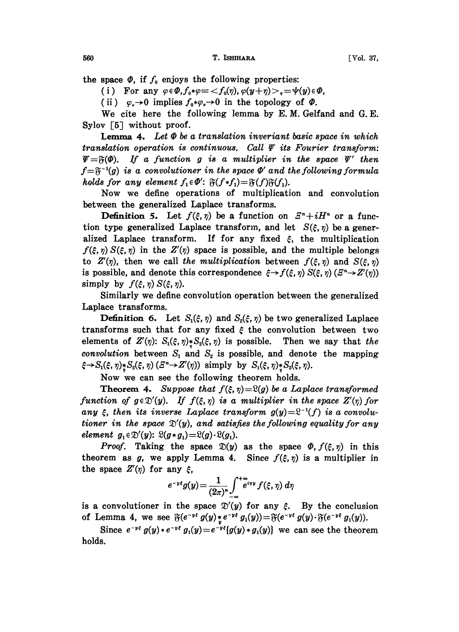the space  $\Phi$ , if  $f_0$  enjoys the following properties:

(i) For any  $\varphi \in \Phi, f_0 \ast \varphi \equiv \langle f_0(\eta), \varphi(y+\eta) \rangle, \varphi(y) \in \Phi,$ 

(ii)  $\varphi$ ,  $\rightarrow$  0 implies  $f_0 * \varphi$ ,  $\rightarrow$  0 in the topology of  $\varPhi$ .

We cite here the following lemma by E. M. Gelfand and G.E. Sylov  $\lceil 5 \rceil$  without proof.

**Lemma 4.** Let  $\Phi$  be a translation inveriant basic space in which translation operation is continuous. Call  $\Psi$  its Fourier transform:  $\Psi = \mathfrak{F}(\Phi)$ . If a function g is a multiplier in the space  $\Psi'$  then  $f = \mathfrak{F}^{-1}(g)$  is a convolutioner in the space  $\Phi'$  and the following formula<br>holds for any element  $f_1 \in \Phi'$ :  $\mathfrak{F}(f * f_1) = \mathfrak{F}(f)\mathfrak{F}(f_1)$ . holds for any element  $f_1 \in \Phi'$ :  $\mathfrak{F}(f * f_1) = \mathfrak{F}(f)\mathfrak{F}(f_1)$ .

Now we define operations of multiplication and convolution between the generalized Laplace transforms.

**Definition 5.** Let  $f(\xi, \eta)$  be a function on  $E^n + iH^n$  or a function type generalized Laplace transform, and let  $S(\xi, \eta)$  be a generalized Laplace transform. If for any fixed  $\xi$ , the multiplication  $f(\xi, \eta) S(\xi, \eta)$  in the  $Z'(\eta)$  space is possible, and the multiple belongs to  $Z'(\eta)$ , then we call the multiplication between  $f(\xi, \eta)$  and  $S(\xi, \eta)$ is possible, and denote this correspondence  $\xi \rightarrow f(\xi, \eta) S(\xi, \eta) (E^n \rightarrow Z'(\eta))$ simply by  $f(\xi, \eta) S(\xi, \eta)$ .

Similarly we define convolution operation between the generalized Laplace transforms.

**Definition 6.** Let  $S_1(\xi, \eta)$  and  $S_2(\xi, \eta)$  be two generalized Laplace transforms such that for any fixed  $\xi$  the convolution between two elements of  $Z'(\eta)$ :  $S_1(\xi, \eta) * S_2(\xi, \eta)$  is possible. Then we say that the convolution between  $S_1$  and  $S_2$  is possible, and denote the mapping  $\xi \rightarrow S_1(\xi, \eta) * S_2(\xi, \eta)$   $(Z^n \rightarrow Z'(\eta))$  simply by  $S_1(\xi, \eta) * S_2(\xi, \eta)$ .

Now we can see the following theorem holds.

**Theorem 4.** Suppose that  $f(\xi, \eta) = \Omega(g)$  be a Laplace transformed function of  $g \in \mathcal{D}'(y)$ . If  $f(\xi, \eta)$  is a multiplier in the space  $Z'(\eta)$  for any  $\xi$ , then its inverse Laplace transform  $g(y)=\mathbb{R}^{-1}(f)$  is a convolutioner in the space  $\mathcal{D}'(y)$ , and satisfies the following equality for any element  $g_1 \in \mathcal{D}'(y)$ :  $\mathcal{Q}(g * g_1) = \mathcal{Q}(g) \cdot \mathcal{Q}(g_1)$ .

*Proof.* Taking the space  $\mathfrak{D}(y)$  as the space  $\Phi$ ,  $f(\xi, \eta)$  in this theorem as g, we apply Lemma 4. Since  $f(\xi, \eta)$  is a multiplier in the space  $Z'(\eta)$  for any  $\xi$ ,

$$
e^{-y\xi}g(y) = \frac{1}{(2\pi)^n}\int_{-\infty}^{+\infty} e^{iyy} f(\xi, \eta) d\eta
$$

is a convolutioner in the space  $\mathfrak{D}'(y)$  for any  $\xi$ . By the conclusion of Lemma 4, we see  $\mathfrak{F}(e^{-\nu \epsilon} g(y), e^{-\nu \epsilon} g_1(y)) = \mathfrak{F}(e^{-\nu \epsilon} g(y) \cdot \mathfrak{F}(e^{-\nu \epsilon} g_1(y)).$ 

emma 4, we see  $\mathfrak{F}(e^{-y\xi} g(y), e^{-y\xi} g_1(y)) = \mathfrak{F}(e^{-y\xi} g(y) \cdot \mathfrak{F}(e^{-y\xi} g_1(y))$ .<br>Since  $e^{-y\xi} g(y) * e^{-y\xi} g_1(y) = e^{-y\xi} [g(y) * g_1(y)]$  we can see the theorem s. holds.